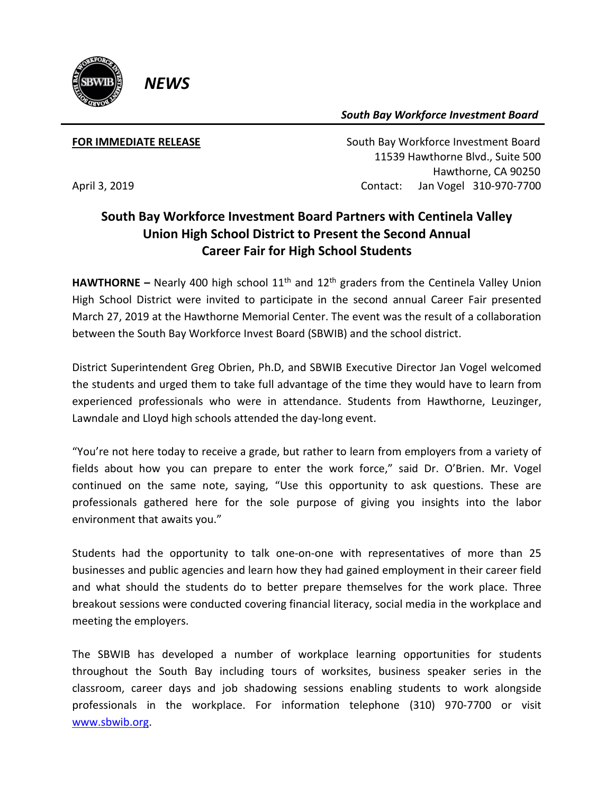

*South Bay Workforce Investment Board*

*NEWS*

**FOR IMMEDIATE RELEASE South Bay Workforce Investment Board**  11539 Hawthorne Blvd., Suite 500 Hawthorne, CA 90250 April 3, 2019 **Contact:** Jan Vogel 310-970-7700

## **South Bay Workforce Investment Board Partners with Centinela Valley Union High School District to Present the Second Annual Career Fair for High School Students**

**HAWTHORNE** – Nearly 400 high school  $11<sup>th</sup>$  and  $12<sup>th</sup>$  graders from the Centinela Valley Union High School District were invited to participate in the second annual Career Fair presented March 27, 2019 at the Hawthorne Memorial Center. The event was the result of a collaboration between the South Bay Workforce Invest Board (SBWIB) and the school district.

District Superintendent Greg Obrien, Ph.D, and SBWIB Executive Director Jan Vogel welcomed the students and urged them to take full advantage of the time they would have to learn from experienced professionals who were in attendance. Students from Hawthorne, Leuzinger, Lawndale and Lloyd high schools attended the day-long event.

"You're not here today to receive a grade, but rather to learn from employers from a variety of fields about how you can prepare to enter the work force," said Dr. O'Brien. Mr. Vogel continued on the same note, saying, "Use this opportunity to ask questions. These are professionals gathered here for the sole purpose of giving you insights into the labor environment that awaits you."

Students had the opportunity to talk one-on-one with representatives of more than 25 businesses and public agencies and learn how they had gained employment in their career field and what should the students do to better prepare themselves for the work place. Three breakout sessions were conducted covering financial literacy, social media in the workplace and meeting the employers.

The SBWIB has developed a number of workplace learning opportunities for students throughout the South Bay including tours of worksites, business speaker series in the classroom, career days and job shadowing sessions enabling students to work alongside professionals in the workplace. For information telephone (310) 970-7700 or visit [www.sbwib.org.](http://www.sbwib.org/)